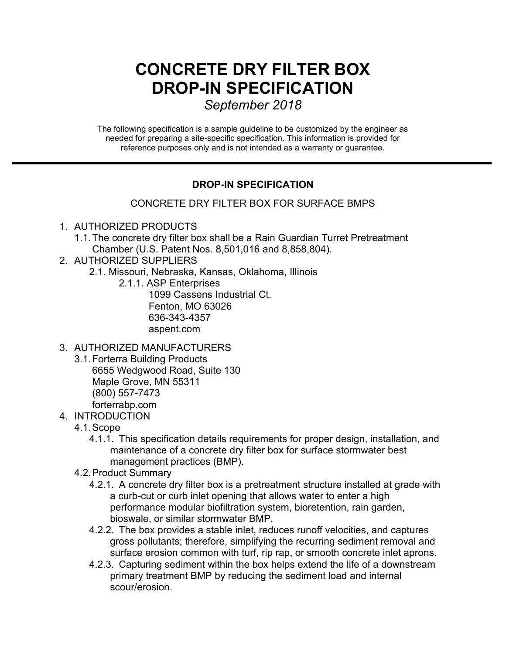# **CONCRETE DRY FILTER BOX DROP-IN SPECIFICATION**

*September 2018* 

The following specification is a sample guideline to be customized by the engineer as needed for preparing a site-specific specification. This information is provided for reference purposes only and is not intended as a warranty or guarantee.

## **DROP-IN SPECIFICATION**

## CONCRETE DRY FILTER BOX FOR SURFACE BMPS

#### 1. AUTHORIZED PRODUCTS

- 1.1.The concrete dry filter box shall be a Rain Guardian Turret Pretreatment Chamber (U.S. Patent Nos. 8,501,016 and 8,858,804).
- 2. AUTHORIZED SUPPLIERS
	- 2.1. Missouri, Nebraska, Kansas, Oklahoma, Illinois
		- 2.1.1. ASP Enterprises 1099 Cassens Industrial Ct. Fenton, MO 63026 636-343-4357 aspent.com

## 3. AUTHORIZED MANUFACTURERS

- 3.1.Forterra Building Products 6655 Wedgwood Road, Suite 130 Maple Grove, MN 55311 (800) 557-7473 forterrabp.com
- 4. INTRODUCTION
	- 4.1.Scope
		- 4.1.1. This specification details requirements for proper design, installation, and maintenance of a concrete dry filter box for surface stormwater best management practices (BMP).
	- 4.2.Product Summary
		- 4.2.1. A concrete dry filter box is a pretreatment structure installed at grade with a curb-cut or curb inlet opening that allows water to enter a high performance modular biofiltration system, bioretention, rain garden, bioswale, or similar stormwater BMP.
		- 4.2.2. The box provides a stable inlet, reduces runoff velocities, and captures gross pollutants; therefore, simplifying the recurring sediment removal and surface erosion common with turf, rip rap, or smooth concrete inlet aprons.
		- 4.2.3. Capturing sediment within the box helps extend the life of a downstream primary treatment BMP by reducing the sediment load and internal scour/erosion.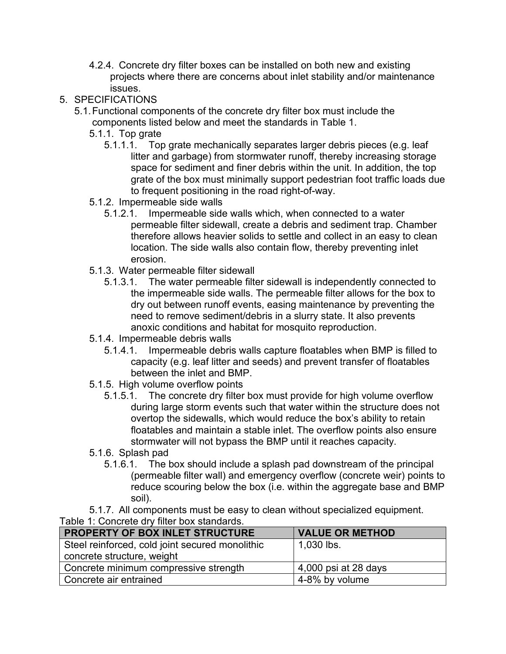- 4.2.4. Concrete dry filter boxes can be installed on both new and existing projects where there are concerns about inlet stability and/or maintenance issues.
- 5. SPECIFICATIONS
	- 5.1.Functional components of the concrete dry filter box must include the components listed below and meet the standards in Table 1.
		- 5.1.1. Top grate
			- 5.1.1.1. Top grate mechanically separates larger debris pieces (e.g. leaf litter and garbage) from stormwater runoff, thereby increasing storage space for sediment and finer debris within the unit. In addition, the top grate of the box must minimally support pedestrian foot traffic loads due to frequent positioning in the road right-of-way.
		- 5.1.2. Impermeable side walls
			- 5.1.2.1. Impermeable side walls which, when connected to a water permeable filter sidewall, create a debris and sediment trap. Chamber therefore allows heavier solids to settle and collect in an easy to clean location. The side walls also contain flow, thereby preventing inlet erosion.
		- 5.1.3. Water permeable filter sidewall
			- 5.1.3.1. The water permeable filter sidewall is independently connected to the impermeable side walls. The permeable filter allows for the box to dry out between runoff events, easing maintenance by preventing the need to remove sediment/debris in a slurry state. It also prevents anoxic conditions and habitat for mosquito reproduction.
		- 5.1.4. Impermeable debris walls
			- 5.1.4.1. Impermeable debris walls capture floatables when BMP is filled to capacity (e.g. leaf litter and seeds) and prevent transfer of floatables between the inlet and BMP.
		- 5.1.5. High volume overflow points
			- 5.1.5.1. The concrete dry filter box must provide for high volume overflow during large storm events such that water within the structure does not overtop the sidewalls, which would reduce the box's ability to retain floatables and maintain a stable inlet. The overflow points also ensure stormwater will not bypass the BMP until it reaches capacity.
		- 5.1.6. Splash pad
			- 5.1.6.1. The box should include a splash pad downstream of the principal (permeable filter wall) and emergency overflow (concrete weir) points to reduce scouring below the box (i.e. within the aggregate base and BMP soil).
- 5.1.7. All components must be easy to clean without specialized equipment. Table 1: Concrete dry filter box standards.

| PROPERTY OF BOX INLET STRUCTURE                 | <b>VALUE OR METHOD</b> |
|-------------------------------------------------|------------------------|
| Steel reinforced, cold joint secured monolithic | $1,030$ lbs.           |
| concrete structure, weight                      |                        |
| Concrete minimum compressive strength           | 4,000 psi at 28 days   |
| Concrete air entrained                          | 4-8% by volume         |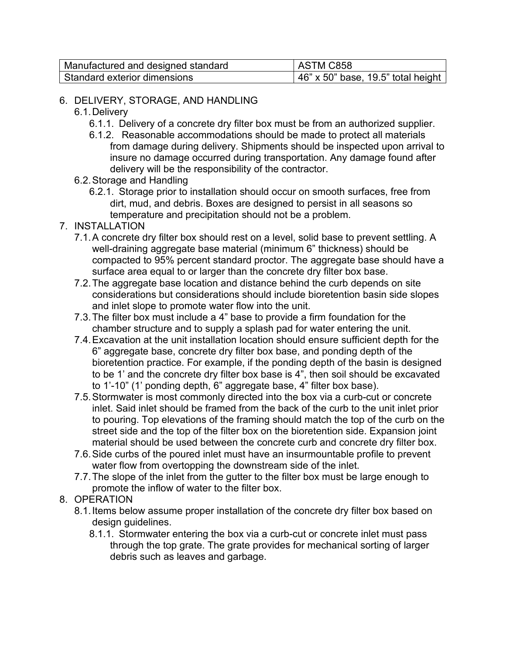| Manufactured and designed standard | ASTM C858                          |
|------------------------------------|------------------------------------|
| . Standard exterior dimensions     | 46" x 50" base, 19.5" total height |

### 6. DELIVERY, STORAGE, AND HANDLING

- 6.1.Delivery
	- 6.1.1. Delivery of a concrete dry filter box must be from an authorized supplier.
	- 6.1.2. Reasonable accommodations should be made to protect all materials from damage during delivery. Shipments should be inspected upon arrival to insure no damage occurred during transportation. Any damage found after delivery will be the responsibility of the contractor.
- 6.2.Storage and Handling
	- 6.2.1. Storage prior to installation should occur on smooth surfaces, free from dirt, mud, and debris. Boxes are designed to persist in all seasons so temperature and precipitation should not be a problem.
- 7. INSTALLATION
	- 7.1.A concrete dry filter box should rest on a level, solid base to prevent settling. A well-draining aggregate base material (minimum 6" thickness) should be compacted to 95% percent standard proctor. The aggregate base should have a surface area equal to or larger than the concrete dry filter box base.
	- 7.2.The aggregate base location and distance behind the curb depends on site considerations but considerations should include bioretention basin side slopes and inlet slope to promote water flow into the unit.
	- 7.3.The filter box must include a 4" base to provide a firm foundation for the chamber structure and to supply a splash pad for water entering the unit.
	- 7.4.Excavation at the unit installation location should ensure sufficient depth for the 6" aggregate base, concrete dry filter box base, and ponding depth of the bioretention practice. For example, if the ponding depth of the basin is designed to be 1' and the concrete dry filter box base is 4", then soil should be excavated to 1'-10" (1' ponding depth, 6" aggregate base, 4" filter box base).
	- 7.5.Stormwater is most commonly directed into the box via a curb-cut or concrete inlet. Said inlet should be framed from the back of the curb to the unit inlet prior to pouring. Top elevations of the framing should match the top of the curb on the street side and the top of the filter box on the bioretention side. Expansion joint material should be used between the concrete curb and concrete dry filter box.
	- 7.6.Side curbs of the poured inlet must have an insurmountable profile to prevent water flow from overtopping the downstream side of the inlet.
	- 7.7.The slope of the inlet from the gutter to the filter box must be large enough to promote the inflow of water to the filter box.
- 8. OPERATION
	- 8.1.Items below assume proper installation of the concrete dry filter box based on design guidelines.
		- 8.1.1. Stormwater entering the box via a curb-cut or concrete inlet must pass through the top grate. The grate provides for mechanical sorting of larger debris such as leaves and garbage.